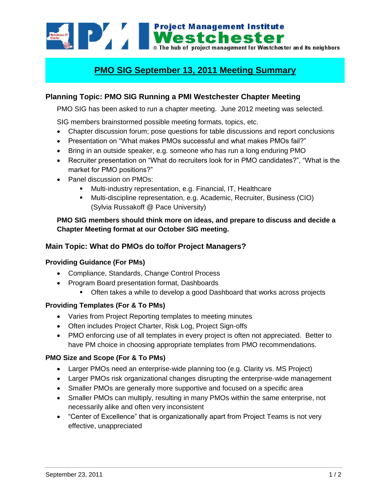

# **PMO SIG September 13, 2011 Meeting Summary**

## **Planning Topic: PMO SIG Running a PMI Westchester Chapter Meeting**

PMO SIG has been asked to run a chapter meeting. June 2012 meeting was selected.

SIG members brainstormed possible meeting formats, topics, etc.

- Chapter discussion forum; pose questions for table discussions and report conclusions
- Presentation on "What makes PMOs successful and what makes PMOs fail?"
- Bring in an outside speaker, e.g. someone who has run a long enduring PMO
- Recruiter presentation on "What do recruiters look for in PMO candidates?", "What is the market for PMO positions?"
- Panel discussion on PMOs:
	- Multi-industry representation, e.g. Financial, IT, Healthcare
	- Multi-discipline representation, e.g. Academic, Recruiter, Business (CIO) (Sylvia Russakoff @ Pace University)

## **PMO SIG members should think more on ideas, and prepare to discuss and decide a Chapter Meeting format at our October SIG meeting.**

## **Main Topic: What do PMOs do to/for Project Managers?**

### **Providing Guidance (For PMs)**

- Compliance, Standards, Change Control Process
- Program Board presentation format, Dashboards
	- **Often takes a while to develop a good Dashboard that works across projects**

#### **Providing Templates (For & To PMs)**

- Varies from Project Reporting templates to meeting minutes
- Often includes Project Charter, Risk Log, Project Sign-offs
- PMO enforcing use of all templates in every project is often not appreciated. Better to have PM choice in choosing appropriate templates from PMO recommendations.

#### **PMO Size and Scope (For & To PMs)**

- Larger PMOs need an enterprise-wide planning too (e.g. Clarity vs. MS Project)
- Larger PMOs risk organizational changes disrupting the enterprise-wide management
- Smaller PMOs are generally more supportive and focused on a specific area
- Smaller PMOs can multiply, resulting in many PMOs within the same enterprise, not necessarily alike and often very inconsistent
- "Center of Excellence" that is organizationally apart from Project Teams is not very effective, unappreciated